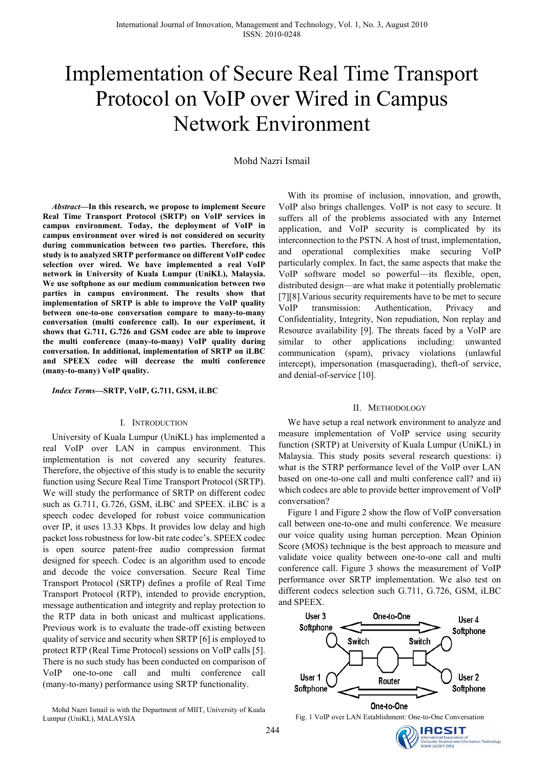# Implementation of Secure Real Time Transport Protocol on VoIP over Wired in Campus Network Environment

Mohd Nazri Ismail

*Abstract***—In this research, we propose to implement Secure Real Time Transport Protocol (SRTP) on VoIP services in campus environment. Today, the deployment of VoIP in campus environment over wired is not considered on security during communication between two parties. Therefore, this study is to analyzed SRTP performance on different VoIP codec selection over wired. We have implemented a real VoIP network in University of Kuala Lumpur (UniKL), Malaysia. We use softphone as our medium communication between two parties in campus environment. The results show that implementation of SRTP is able to improve the VoIP quality between one-to-one conversation compare to many-to-many conversation (multi conference call). In our experiment, it shows that G.711, G.726 and GSM codec are able to improve the multi conference (many-to-many) VoIP quality during conversation. In additional, implementation of SRTP on iLBC and SPEEX codec will decrease the multi conference (many-to-many) VoIP quality.** 

*Index Terms***—SRTP, VoIP, G.711, GSM, iLBC** 

#### I. INTRODUCTION

University of Kuala Lumpur (UniKL) has implemented a real VoIP over LAN in campus environment. This implementation is not covered any security features. Therefore, the objective of this study is to enable the security function using Secure Real Time Transport Protocol (SRTP). We will study the performance of SRTP on different codec such as G.711, G.726, GSM, iLBC and SPEEX. iLBC is a speech codec developed for robust voice communication over IP, it uses 13.33 Kbps. It provides low delay and high packet loss robustness for low-bit rate codec's. SPEEX codec is open source patent-free audio compression format designed for speech. Codec is an algorithm used to encode and decode the voice conversation. Secure Real Time Transport Protocol (SRTP) defines a profile of Real Time Transport Protocol (RTP), intended to provide encryption, message authentication and integrity and replay protection to the RTP data in both unicast and multicast applications. Previous work is to evaluate the trade-off existing between quality of service and security when SRTP [6] is employed to protect RTP (Real Time Protocol) sessions on VoIP calls [5]. There is no such study has been conducted on comparison of VoIP one-to-one call and multi conference call (many-to-many) performance using SRTP functionality.

Mohd Nazri Ismail is with the Department of MIIT, University of Kuala Lumpur (UniKL), MALAYSIA

With its promise of inclusion, innovation, and growth, VoIP also brings challenges. VoIP is not easy to secure. It suffers all of the problems associated with any Internet application, and VoIP security is complicated by its interconnection to the PSTN. A host of trust, implementation, and operational complexities make securing VoIP particularly complex. In fact, the same aspects that make the VoIP software model so powerful—its flexible, open, distributed design—are what make it potentially problematic [7][8].Various security requirements have to be met to secure VoIP transmission: Authentication, Privacy and Confidentiality, Integrity, Non repudiation, Non replay and Resource availability [9]. The threats faced by a VoIP are similar to other applications including: unwanted communication (spam), privacy violations (unlawful intercept), impersonation (masquerading), theft-of service, and denial-of-service [10].

### II. METHODOLOGY

We have setup a real network environment to analyze and measure implementation of VoIP service using security function (SRTP) at University of Kuala Lumpur (UniKL) in Malaysia. This study posits several research questions: i) what is the STRP performance level of the VoIP over LAN based on one-to-one call and multi conference call? and ii) which codecs are able to provide better improvement of VoIP conversation?

Figure 1 and Figure 2 show the flow of VoIP conversation call between one-to-one and multi conference. We measure our voice quality using human perception. Mean Opinion Score (MOS) technique is the best approach to measure and validate voice quality between one-to-one call and multi conference call. Figure 3 shows the measurement of VoIP performance over SRTP implementation. We also test on different codecs selection such G.711, G.726, GSM, iLBC and SPEEX.



Fig. 1 VoIP over LAN Establishment: One-to-One Conversation

IACSIT

nce and Information Technology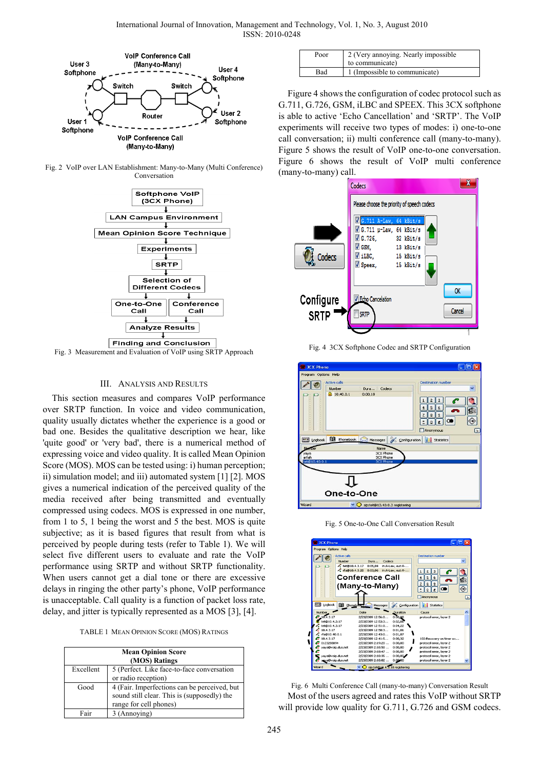

Fig. 2 VoIP over LAN Establishment: Many-to-Many (Multi Conference) Conversation



Fig. 3 Measurement and Evaluation of VoIP using SRTP Approach

## III. ANALYSIS AND RESULTS

This section measures and compares VoIP performance over SRTP function. In voice and video communication, quality usually dictates whether the experience is a good or bad one. Besides the qualitative description we hear, like 'quite good' or 'very bad', there is a numerical method of expressing voice and video quality. It is called Mean Opinion Score (MOS). MOS can be tested using: i) human perception; ii) simulation model; and iii) automated system [1] [2]. MOS gives a numerical indication of the perceived quality of the media received after being transmitted and eventually compressed using codecs. MOS is expressed in one number, from 1 to 5, 1 being the worst and 5 the best. MOS is quite subjective; as it is based figures that result from what is perceived by people during tests (refer to Table 1). We will select five different users to evaluate and rate the VoIP performance using SRTP and without SRTP functionality. When users cannot get a dial tone or there are excessive delays in ringing the other party's phone, VoIP performance is unacceptable. Call quality is a function of packet loss rate, delay, and jitter is typically represented as a MOS [3], [4].

TABLE 1 MEAN OPINION SCORE (MOS) RATINGS

| <b>Mean Opinion Score</b><br>(MOS) Ratings |                                              |  |  |  |
|--------------------------------------------|----------------------------------------------|--|--|--|
| Excellent                                  | 5 (Perfect. Like face-to-face conversation   |  |  |  |
|                                            | or radio reception)                          |  |  |  |
| Good                                       | 4 (Fair. Imperfections can be perceived, but |  |  |  |
|                                            | sound still clear. This is (supposedly) the  |  |  |  |
|                                            | range for cell phones)                       |  |  |  |
| Fair                                       | 3 (Annoying)                                 |  |  |  |

| Poor | 2 (Very annoying. Nearly impossible<br>to communicate) |
|------|--------------------------------------------------------|
| Bad  | 1 (Impossible to communicate)                          |

Figure 4 shows the configuration of codec protocol such as G.711, G.726, GSM, iLBC and SPEEX. This 3CX softphone is able to active 'Echo Cancellation' and 'SRTP'. The VoIP experiments will receive two types of modes: i) one-to-one call conversation; ii) multi conference call (many-to-many). Figure 5 shows the result of VoIP one-to-one conversation. Figure 6 shows the result of VoIP multi conference (many-to-many) call.



Fig. 4 3CX Softphone Codec and SRTP Configuration



Fig. 5 One-to-One Call Conversation Result



Fig. 6 Multi Conference Call (many-to-many) Conversation Result Most of the users agreed and rates this VoIP without SRTP will provide low quality for G.711, G.726 and GSM codecs.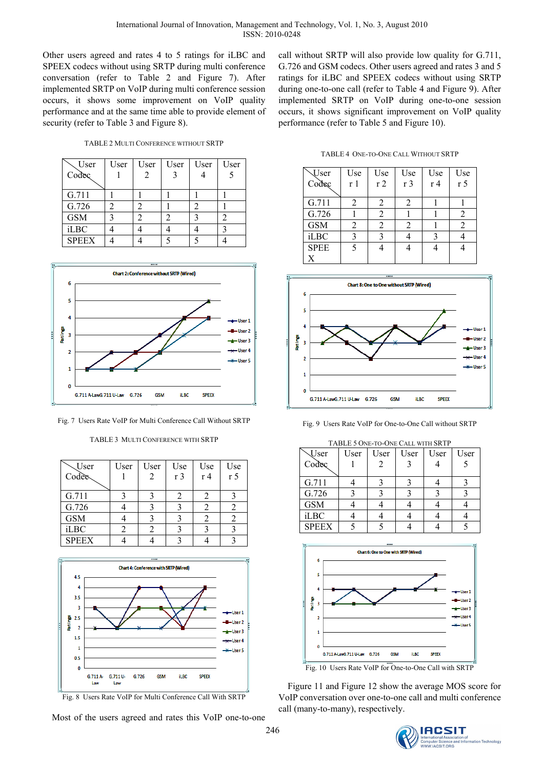Other users agreed and rates 4 to 5 ratings for iLBC and SPEEX codecs without using SRTP during multi conference conversation (refer to Table 2 and Figure 7). After implemented SRTP on VoIP during multi conference session occurs, it shows some improvement on VoIP quality performance and at the same time able to provide element of security (refer to Table 3 and Figure 8).

TABLE 2 MULTI CONFERENCE WITHOUT SRTP

| User         | User | User | User | User | User |
|--------------|------|------|------|------|------|
| Codec        |      |      |      |      |      |
|              |      |      |      |      |      |
| G.711        |      |      |      |      |      |
| G.726        |      |      |      |      |      |
| <b>GSM</b>   |      |      |      |      |      |
| iLBC         |      |      |      |      |      |
| <b>SPEEX</b> |      |      |      |      |      |



Fig. 7 Users Rate VoIP for Multi Conference Call Without SRTP

| TABLE 3 MULTI CONFERENCE WITH SRTP |  |
|------------------------------------|--|
|                                    |  |

| $\setminus$ User<br>Codec | User | User | Use<br>r <sub>3</sub> | Use<br>$r\overline{4}$ | Use<br>r <sub>5</sub> |
|---------------------------|------|------|-----------------------|------------------------|-----------------------|
| G.711                     |      |      |                       |                        |                       |
| G.726                     |      |      |                       | 2                      |                       |
| <b>GSM</b>                |      |      |                       | 2                      |                       |
| <b>iLBC</b>               |      |      |                       |                        |                       |
| <b>SPEEX</b>              |      |      |                       |                        |                       |



Fig. 8 Users Rate VoIP for Multi Conference Call With SRTP

Most of the users agreed and rates this VoIP one-to-one

call without SRTP will also provide low quality for G.711, G.726 and GSM codecs. Other users agreed and rates 3 and 5 ratings for iLBC and SPEEX codecs without using SRTP during one-to-one call (refer to Table 4 and Figure 9). After implemented SRTP on VoIP during one-to-one session occurs, it shows significant improvement on VoIP quality performance (refer to Table 5 and Figure 10).

TABLE 4 ONE-TO-ONE CALL WITHOUT SRTP

| <b>Vser</b><br>Codec | Use<br>r 1 | Use<br>r <sub>2</sub> | Use<br>r <sub>3</sub> | Use<br>r <sub>4</sub> | Use<br>r <sub>5</sub> |
|----------------------|------------|-----------------------|-----------------------|-----------------------|-----------------------|
|                      |            |                       |                       |                       |                       |
| G.711                | 2          | 2                     |                       |                       |                       |
| G.726                |            | 2                     |                       |                       | 2                     |
| <b>GSM</b>           | 2          | 2                     |                       |                       | 2                     |
| <b>iLBC</b>          | 3          | 3                     |                       |                       |                       |
| <b>SPEE</b>          | 5          |                       |                       |                       |                       |
| X                    |            |                       |                       |                       |                       |



Fig. 9 Users Rate VoIP for One-to-One Call without SRTP

| TABLE 5 ONE-TO-ONE CALL WITH SRTP |      |      |      |      |      |  |
|-----------------------------------|------|------|------|------|------|--|
| <b>Vser</b>                       | User | User | User | User | User |  |
| Codec                             |      |      |      |      |      |  |
|                                   |      |      |      |      |      |  |
| G.711                             |      |      |      |      |      |  |
| G.726                             |      |      |      |      |      |  |
| <b>GSM</b>                        |      |      |      |      |      |  |
| <b>iLBC</b>                       |      |      |      |      |      |  |
| <b>SPEEX</b>                      |      |      |      |      |      |  |



Figure 11 and Figure 12 show the average MOS score for VoIP conversation over one-to-one call and multi conference call (many-to-many), respectively.